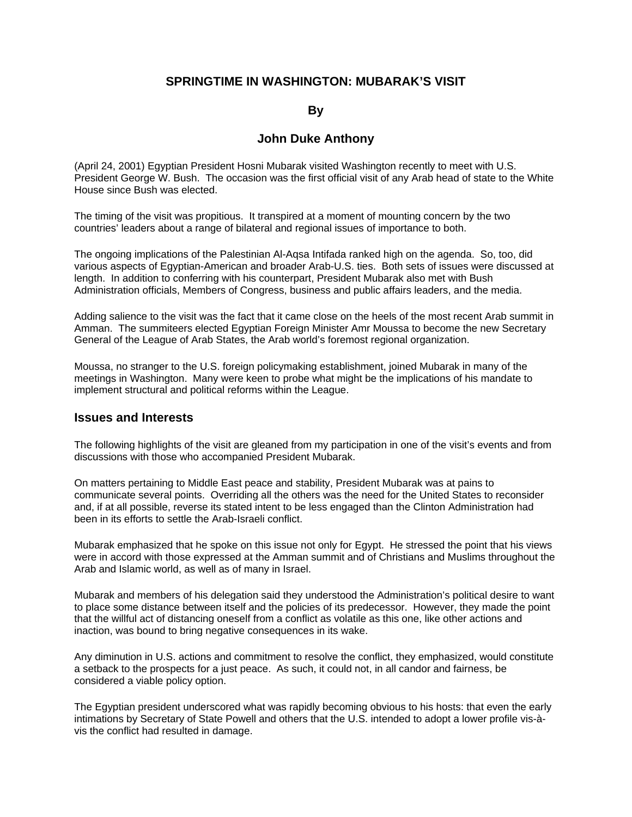### **SPRINGTIME IN WASHINGTON: MUBARAK'S VISIT**

#### **By**

#### **John Duke Anthony**

(April 24, 2001) Egyptian President Hosni Mubarak visited Washington recently to meet with U.S. President George W. Bush. The occasion was the first official visit of any Arab head of state to the White House since Bush was elected.

The timing of the visit was propitious. It transpired at a moment of mounting concern by the two countries' leaders about a range of bilateral and regional issues of importance to both.

The ongoing implications of the Palestinian Al-Aqsa Intifada ranked high on the agenda. So, too, did various aspects of Egyptian-American and broader Arab-U.S. ties. Both sets of issues were discussed at length. In addition to conferring with his counterpart, President Mubarak also met with Bush Administration officials, Members of Congress, business and public affairs leaders, and the media.

Adding salience to the visit was the fact that it came close on the heels of the most recent Arab summit in Amman. The summiteers elected Egyptian Foreign Minister Amr Moussa to become the new Secretary General of the League of Arab States, the Arab world's foremost regional organization.

Moussa, no stranger to the U.S. foreign policymaking establishment, joined Mubarak in many of the meetings in Washington. Many were keen to probe what might be the implications of his mandate to implement structural and political reforms within the League.

#### **Issues and Interests**

The following highlights of the visit are gleaned from my participation in one of the visit's events and from discussions with those who accompanied President Mubarak.

On matters pertaining to Middle East peace and stability, President Mubarak was at pains to communicate several points. Overriding all the others was the need for the United States to reconsider and, if at all possible, reverse its stated intent to be less engaged than the Clinton Administration had been in its efforts to settle the Arab-Israeli conflict.

Mubarak emphasized that he spoke on this issue not only for Egypt. He stressed the point that his views were in accord with those expressed at the Amman summit and of Christians and Muslims throughout the Arab and Islamic world, as well as of many in Israel.

Mubarak and members of his delegation said they understood the Administration's political desire to want to place some distance between itself and the policies of its predecessor. However, they made the point that the willful act of distancing oneself from a conflict as volatile as this one, like other actions and inaction, was bound to bring negative consequences in its wake.

Any diminution in U.S. actions and commitment to resolve the conflict, they emphasized, would constitute a setback to the prospects for a just peace. As such, it could not, in all candor and fairness, be considered a viable policy option.

The Egyptian president underscored what was rapidly becoming obvious to his hosts: that even the early intimations by Secretary of State Powell and others that the U.S. intended to adopt a lower profile vis-àvis the conflict had resulted in damage.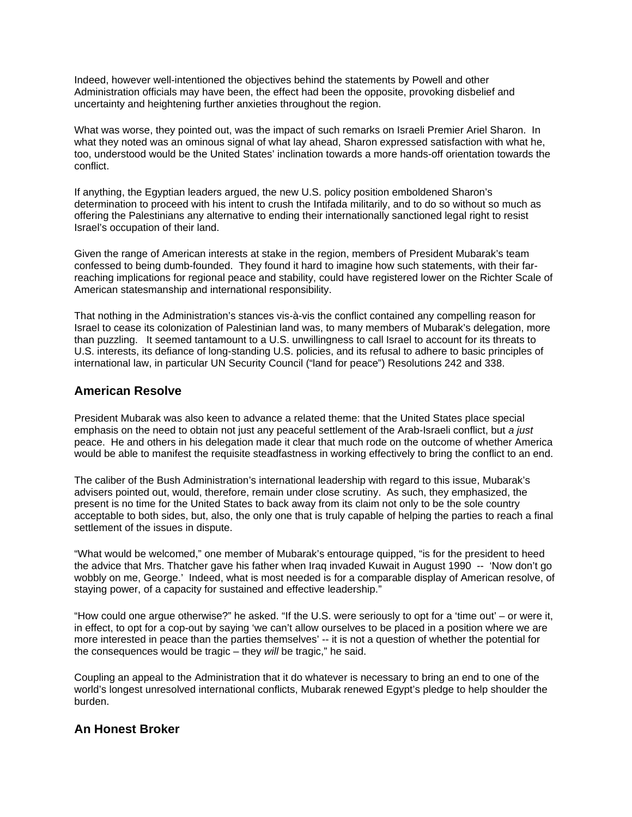Indeed, however well-intentioned the objectives behind the statements by Powell and other Administration officials may have been, the effect had been the opposite, provoking disbelief and uncertainty and heightening further anxieties throughout the region.

What was worse, they pointed out, was the impact of such remarks on Israeli Premier Ariel Sharon. In what they noted was an ominous signal of what lay ahead, Sharon expressed satisfaction with what he, too, understood would be the United States' inclination towards a more hands-off orientation towards the conflict.

If anything, the Egyptian leaders argued, the new U.S. policy position emboldened Sharon's determination to proceed with his intent to crush the Intifada militarily, and to do so without so much as offering the Palestinians any alternative to ending their internationally sanctioned legal right to resist Israel's occupation of their land.

Given the range of American interests at stake in the region, members of President Mubarak's team confessed to being dumb-founded. They found it hard to imagine how such statements, with their farreaching implications for regional peace and stability, could have registered lower on the Richter Scale of American statesmanship and international responsibility.

That nothing in the Administration's stances vis-à-vis the conflict contained any compelling reason for Israel to cease its colonization of Palestinian land was, to many members of Mubarak's delegation, more than puzzling. It seemed tantamount to a U.S. unwillingness to call Israel to account for its threats to U.S. interests, its defiance of long-standing U.S. policies, and its refusal to adhere to basic principles of international law, in particular UN Security Council ("land for peace") Resolutions 242 and 338.

### **American Resolve**

President Mubarak was also keen to advance a related theme: that the United States place special emphasis on the need to obtain not just any peaceful settlement of the Arab-Israeli conflict, but *a just*  peace. He and others in his delegation made it clear that much rode on the outcome of whether America would be able to manifest the requisite steadfastness in working effectively to bring the conflict to an end.

The caliber of the Bush Administration's international leadership with regard to this issue, Mubarak's advisers pointed out, would, therefore, remain under close scrutiny. As such, they emphasized, the present is no time for the United States to back away from its claim not only to be the sole country acceptable to both sides, but, also, the only one that is truly capable of helping the parties to reach a final settlement of the issues in dispute.

"What would be welcomed," one member of Mubarak's entourage quipped, "is for the president to heed the advice that Mrs. Thatcher gave his father when Iraq invaded Kuwait in August 1990 -- 'Now don't go wobbly on me, George.' Indeed, what is most needed is for a comparable display of American resolve, of staying power, of a capacity for sustained and effective leadership."

"How could one argue otherwise?" he asked. "If the U.S. were seriously to opt for a 'time out' – or were it, in effect, to opt for a cop-out by saying 'we can't allow ourselves to be placed in a position where we are more interested in peace than the parties themselves' -- it is not a question of whether the potential for the consequences would be tragic – they *will* be tragic," he said.

Coupling an appeal to the Administration that it do whatever is necessary to bring an end to one of the world's longest unresolved international conflicts, Mubarak renewed Egypt's pledge to help shoulder the burden.

#### **An Honest Broker**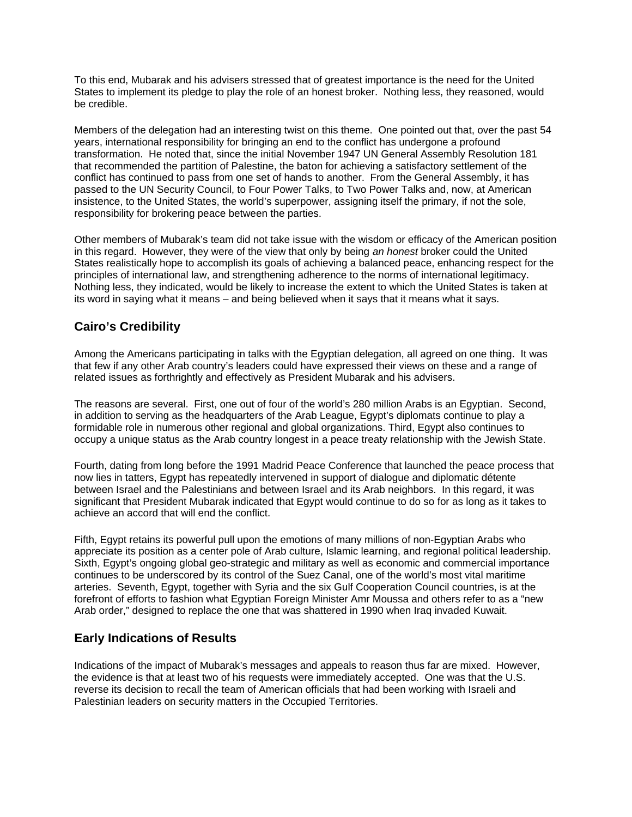To this end, Mubarak and his advisers stressed that of greatest importance is the need for the United States to implement its pledge to play the role of an honest broker. Nothing less, they reasoned, would be credible.

Members of the delegation had an interesting twist on this theme. One pointed out that, over the past 54 years, international responsibility for bringing an end to the conflict has undergone a profound transformation. He noted that, since the initial November 1947 UN General Assembly Resolution 181 that recommended the partition of Palestine, the baton for achieving a satisfactory settlement of the conflict has continued to pass from one set of hands to another. From the General Assembly, it has passed to the UN Security Council, to Four Power Talks, to Two Power Talks and, now, at American insistence, to the United States, the world's superpower, assigning itself the primary, if not the sole, responsibility for brokering peace between the parties.

Other members of Mubarak's team did not take issue with the wisdom or efficacy of the American position in this regard. However, they were of the view that only by being *an honest* broker could the United States realistically hope to accomplish its goals of achieving a balanced peace, enhancing respect for the principles of international law, and strengthening adherence to the norms of international legitimacy. Nothing less, they indicated, would be likely to increase the extent to which the United States is taken at its word in saying what it means – and being believed when it says that it means what it says.

# **Cairo's Credibility**

Among the Americans participating in talks with the Egyptian delegation, all agreed on one thing. It was that few if any other Arab country's leaders could have expressed their views on these and a range of related issues as forthrightly and effectively as President Mubarak and his advisers.

The reasons are several. First, one out of four of the world's 280 million Arabs is an Egyptian. Second, in addition to serving as the headquarters of the Arab League, Egypt's diplomats continue to play a formidable role in numerous other regional and global organizations. Third, Egypt also continues to occupy a unique status as the Arab country longest in a peace treaty relationship with the Jewish State.

Fourth, dating from long before the 1991 Madrid Peace Conference that launched the peace process that now lies in tatters, Egypt has repeatedly intervened in support of dialogue and diplomatic détente between Israel and the Palestinians and between Israel and its Arab neighbors. In this regard, it was significant that President Mubarak indicated that Egypt would continue to do so for as long as it takes to achieve an accord that will end the conflict.

Fifth, Egypt retains its powerful pull upon the emotions of many millions of non-Egyptian Arabs who appreciate its position as a center pole of Arab culture, Islamic learning, and regional political leadership. Sixth, Egypt's ongoing global geo-strategic and military as well as economic and commercial importance continues to be underscored by its control of the Suez Canal, one of the world's most vital maritime arteries. Seventh, Egypt, together with Syria and the six Gulf Cooperation Council countries, is at the forefront of efforts to fashion what Egyptian Foreign Minister Amr Moussa and others refer to as a "new Arab order," designed to replace the one that was shattered in 1990 when Iraq invaded Kuwait.

## **Early Indications of Results**

Indications of the impact of Mubarak's messages and appeals to reason thus far are mixed. However, the evidence is that at least two of his requests were immediately accepted. One was that the U.S. reverse its decision to recall the team of American officials that had been working with Israeli and Palestinian leaders on security matters in the Occupied Territories.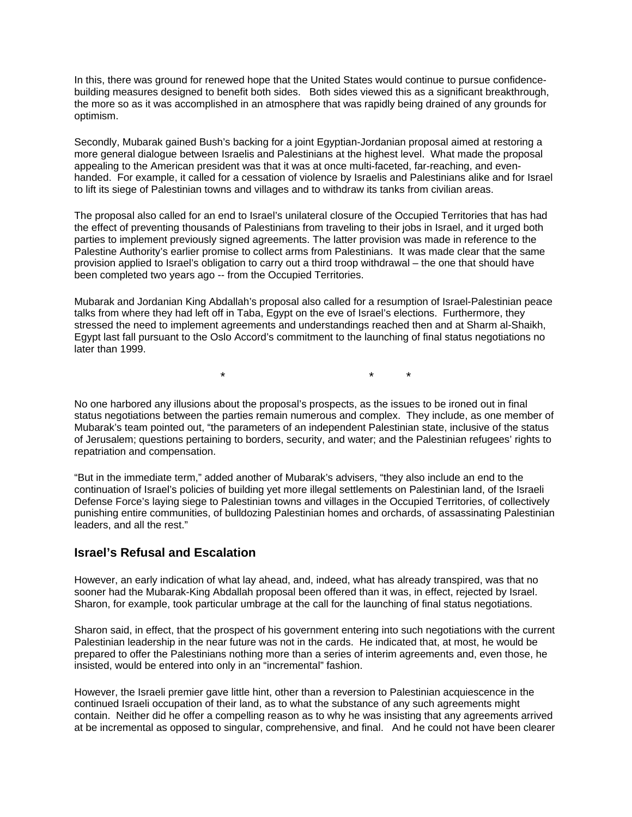In this, there was ground for renewed hope that the United States would continue to pursue confidencebuilding measures designed to benefit both sides. Both sides viewed this as a significant breakthrough, the more so as it was accomplished in an atmosphere that was rapidly being drained of any grounds for optimism.

Secondly, Mubarak gained Bush's backing for a joint Egyptian-Jordanian proposal aimed at restoring a more general dialogue between Israelis and Palestinians at the highest level. What made the proposal appealing to the American president was that it was at once multi-faceted, far-reaching, and evenhanded. For example, it called for a cessation of violence by Israelis and Palestinians alike and for Israel to lift its siege of Palestinian towns and villages and to withdraw its tanks from civilian areas.

The proposal also called for an end to Israel's unilateral closure of the Occupied Territories that has had the effect of preventing thousands of Palestinians from traveling to their jobs in Israel, and it urged both parties to implement previously signed agreements. The latter provision was made in reference to the Palestine Authority's earlier promise to collect arms from Palestinians. It was made clear that the same provision applied to Israel's obligation to carry out a third troop withdrawal – the one that should have been completed two years ago -- from the Occupied Territories.

Mubarak and Jordanian King Abdallah's proposal also called for a resumption of Israel-Palestinian peace talks from where they had left off in Taba, Egypt on the eve of Israel's elections. Furthermore, they stressed the need to implement agreements and understandings reached then and at Sharm al-Shaikh, Egypt last fall pursuant to the Oslo Accord's commitment to the launching of final status negotiations no later than 1999.

\* \* \*

No one harbored any illusions about the proposal's prospects, as the issues to be ironed out in final status negotiations between the parties remain numerous and complex. They include, as one member of Mubarak's team pointed out, "the parameters of an independent Palestinian state, inclusive of the status of Jerusalem; questions pertaining to borders, security, and water; and the Palestinian refugees' rights to repatriation and compensation.

"But in the immediate term," added another of Mubarak's advisers, "they also include an end to the continuation of Israel's policies of building yet more illegal settlements on Palestinian land, of the Israeli Defense Force's laying siege to Palestinian towns and villages in the Occupied Territories, of collectively punishing entire communities, of bulldozing Palestinian homes and orchards, of assassinating Palestinian leaders, and all the rest."

#### **Israel's Refusal and Escalation**

However, an early indication of what lay ahead, and, indeed, what has already transpired, was that no sooner had the Mubarak-King Abdallah proposal been offered than it was, in effect, rejected by Israel. Sharon, for example, took particular umbrage at the call for the launching of final status negotiations.

Sharon said, in effect, that the prospect of his government entering into such negotiations with the current Palestinian leadership in the near future was not in the cards. He indicated that, at most, he would be prepared to offer the Palestinians nothing more than a series of interim agreements and, even those, he insisted, would be entered into only in an "incremental" fashion.

However, the Israeli premier gave little hint, other than a reversion to Palestinian acquiescence in the continued Israeli occupation of their land, as to what the substance of any such agreements might contain. Neither did he offer a compelling reason as to why he was insisting that any agreements arrived at be incremental as opposed to singular, comprehensive, and final. And he could not have been clearer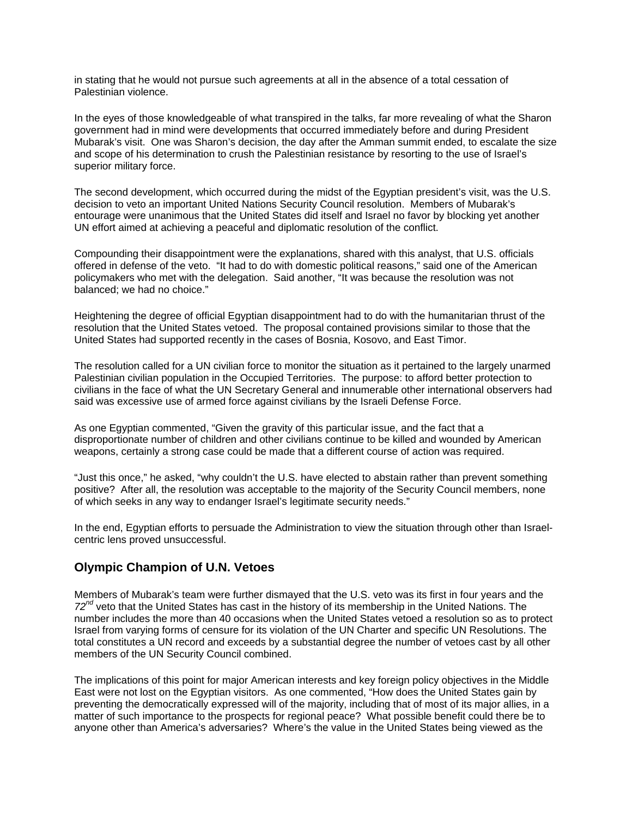in stating that he would not pursue such agreements at all in the absence of a total cessation of Palestinian violence.

In the eyes of those knowledgeable of what transpired in the talks, far more revealing of what the Sharon government had in mind were developments that occurred immediately before and during President Mubarak's visit. One was Sharon's decision, the day after the Amman summit ended, to escalate the size and scope of his determination to crush the Palestinian resistance by resorting to the use of Israel's superior military force.

The second development, which occurred during the midst of the Egyptian president's visit, was the U.S. decision to veto an important United Nations Security Council resolution. Members of Mubarak's entourage were unanimous that the United States did itself and Israel no favor by blocking yet another UN effort aimed at achieving a peaceful and diplomatic resolution of the conflict.

Compounding their disappointment were the explanations, shared with this analyst, that U.S. officials offered in defense of the veto. "It had to do with domestic political reasons," said one of the American policymakers who met with the delegation. Said another, "It was because the resolution was not balanced; we had no choice."

Heightening the degree of official Egyptian disappointment had to do with the humanitarian thrust of the resolution that the United States vetoed. The proposal contained provisions similar to those that the United States had supported recently in the cases of Bosnia, Kosovo, and East Timor.

The resolution called for a UN civilian force to monitor the situation as it pertained to the largely unarmed Palestinian civilian population in the Occupied Territories. The purpose: to afford better protection to civilians in the face of what the UN Secretary General and innumerable other international observers had said was excessive use of armed force against civilians by the Israeli Defense Force.

As one Egyptian commented, "Given the gravity of this particular issue, and the fact that a disproportionate number of children and other civilians continue to be killed and wounded by American weapons, certainly a strong case could be made that a different course of action was required.

"Just this once," he asked, "why couldn't the U.S. have elected to abstain rather than prevent something positive? After all, the resolution was acceptable to the majority of the Security Council members, none of which seeks in any way to endanger Israel's legitimate security needs."

In the end, Egyptian efforts to persuade the Administration to view the situation through other than Israelcentric lens proved unsuccessful.

#### **Olympic Champion of U.N. Vetoes**

Members of Mubarak's team were further dismayed that the U.S. veto was its first in four years and the *72nd* veto that the United States has cast in the history of its membership in the United Nations. The number includes the more than 40 occasions when the United States vetoed a resolution so as to protect Israel from varying forms of censure for its violation of the UN Charter and specific UN Resolutions. The total constitutes a UN record and exceeds by a substantial degree the number of vetoes cast by all other members of the UN Security Council combined.

The implications of this point for major American interests and key foreign policy objectives in the Middle East were not lost on the Egyptian visitors. As one commented, "How does the United States gain by preventing the democratically expressed will of the majority, including that of most of its major allies, in a matter of such importance to the prospects for regional peace? What possible benefit could there be to anyone other than America's adversaries? Where's the value in the United States being viewed as the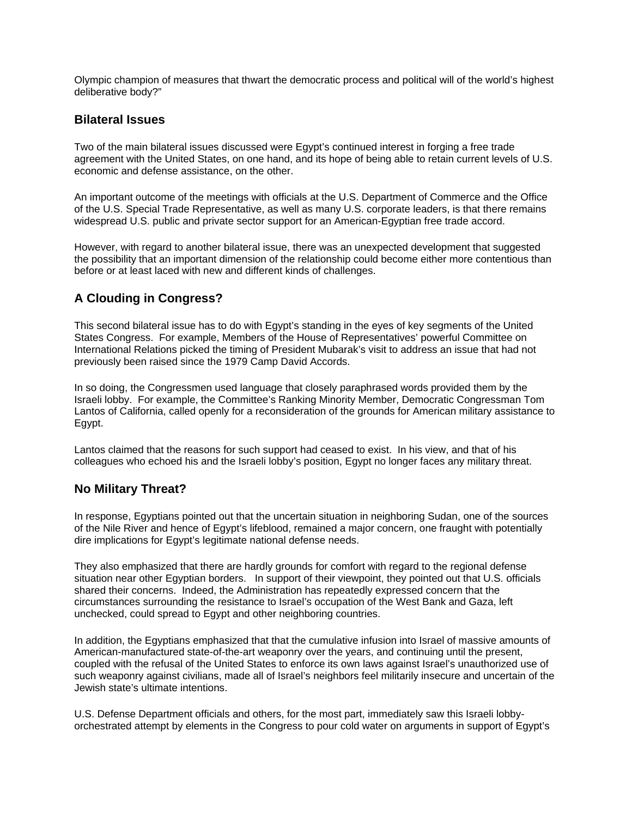Olympic champion of measures that thwart the democratic process and political will of the world's highest deliberative body?"

#### **Bilateral Issues**

Two of the main bilateral issues discussed were Egypt's continued interest in forging a free trade agreement with the United States, on one hand, and its hope of being able to retain current levels of U.S. economic and defense assistance, on the other.

An important outcome of the meetings with officials at the U.S. Department of Commerce and the Office of the U.S. Special Trade Representative, as well as many U.S. corporate leaders, is that there remains widespread U.S. public and private sector support for an American-Egyptian free trade accord.

However, with regard to another bilateral issue, there was an unexpected development that suggested the possibility that an important dimension of the relationship could become either more contentious than before or at least laced with new and different kinds of challenges.

## **A Clouding in Congress?**

This second bilateral issue has to do with Egypt's standing in the eyes of key segments of the United States Congress. For example, Members of the House of Representatives' powerful Committee on International Relations picked the timing of President Mubarak's visit to address an issue that had not previously been raised since the 1979 Camp David Accords.

In so doing, the Congressmen used language that closely paraphrased words provided them by the Israeli lobby. For example, the Committee's Ranking Minority Member, Democratic Congressman Tom Lantos of California, called openly for a reconsideration of the grounds for American military assistance to Egypt.

Lantos claimed that the reasons for such support had ceased to exist. In his view, and that of his colleagues who echoed his and the Israeli lobby's position, Egypt no longer faces any military threat.

#### **No Military Threat?**

In response, Egyptians pointed out that the uncertain situation in neighboring Sudan, one of the sources of the Nile River and hence of Egypt's lifeblood, remained a major concern, one fraught with potentially dire implications for Egypt's legitimate national defense needs.

They also emphasized that there are hardly grounds for comfort with regard to the regional defense situation near other Egyptian borders. In support of their viewpoint, they pointed out that U.S. officials shared their concerns. Indeed, the Administration has repeatedly expressed concern that the circumstances surrounding the resistance to Israel's occupation of the West Bank and Gaza, left unchecked, could spread to Egypt and other neighboring countries.

In addition, the Egyptians emphasized that that the cumulative infusion into Israel of massive amounts of American-manufactured state-of-the-art weaponry over the years, and continuing until the present, coupled with the refusal of the United States to enforce its own laws against Israel's unauthorized use of such weaponry against civilians, made all of Israel's neighbors feel militarily insecure and uncertain of the Jewish state's ultimate intentions.

U.S. Defense Department officials and others, for the most part, immediately saw this Israeli lobbyorchestrated attempt by elements in the Congress to pour cold water on arguments in support of Egypt's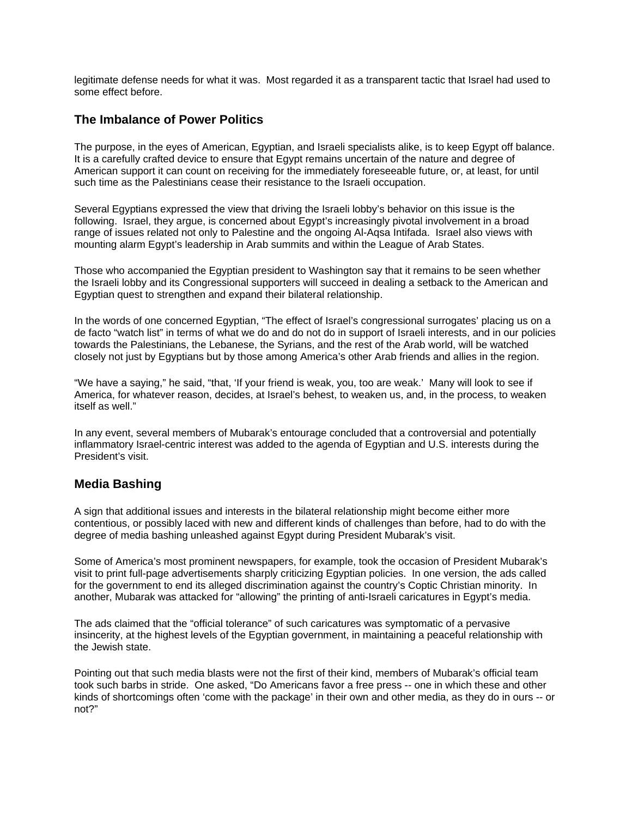legitimate defense needs for what it was. Most regarded it as a transparent tactic that Israel had used to some effect before.

### **The Imbalance of Power Politics**

The purpose, in the eyes of American, Egyptian, and Israeli specialists alike, is to keep Egypt off balance. It is a carefully crafted device to ensure that Egypt remains uncertain of the nature and degree of American support it can count on receiving for the immediately foreseeable future, or, at least, for until such time as the Palestinians cease their resistance to the Israeli occupation.

Several Egyptians expressed the view that driving the Israeli lobby's behavior on this issue is the following. Israel, they argue, is concerned about Egypt's increasingly pivotal involvement in a broad range of issues related not only to Palestine and the ongoing Al-Aqsa Intifada. Israel also views with mounting alarm Egypt's leadership in Arab summits and within the League of Arab States.

Those who accompanied the Egyptian president to Washington say that it remains to be seen whether the Israeli lobby and its Congressional supporters will succeed in dealing a setback to the American and Egyptian quest to strengthen and expand their bilateral relationship.

In the words of one concerned Egyptian, "The effect of Israel's congressional surrogates' placing us on a de facto "watch list" in terms of what we do and do not do in support of Israeli interests, and in our policies towards the Palestinians, the Lebanese, the Syrians, and the rest of the Arab world, will be watched closely not just by Egyptians but by those among America's other Arab friends and allies in the region.

"We have a saying," he said, "that, 'If your friend is weak, you, too are weak.' Many will look to see if America, for whatever reason, decides, at Israel's behest, to weaken us, and, in the process, to weaken itself as well."

In any event, several members of Mubarak's entourage concluded that a controversial and potentially inflammatory Israel-centric interest was added to the agenda of Egyptian and U.S. interests during the President's visit.

## **Media Bashing**

A sign that additional issues and interests in the bilateral relationship might become either more contentious, or possibly laced with new and different kinds of challenges than before, had to do with the degree of media bashing unleashed against Egypt during President Mubarak's visit.

Some of America's most prominent newspapers, for example, took the occasion of President Mubarak's visit to print full-page advertisements sharply criticizing Egyptian policies. In one version, the ads called for the government to end its alleged discrimination against the country's Coptic Christian minority. In another, Mubarak was attacked for "allowing" the printing of anti-Israeli caricatures in Egypt's media.

The ads claimed that the "official tolerance" of such caricatures was symptomatic of a pervasive insincerity, at the highest levels of the Egyptian government, in maintaining a peaceful relationship with the Jewish state.

Pointing out that such media blasts were not the first of their kind, members of Mubarak's official team took such barbs in stride. One asked, "Do Americans favor a free press -- one in which these and other kinds of shortcomings often 'come with the package' in their own and other media, as they do in ours -- or not?"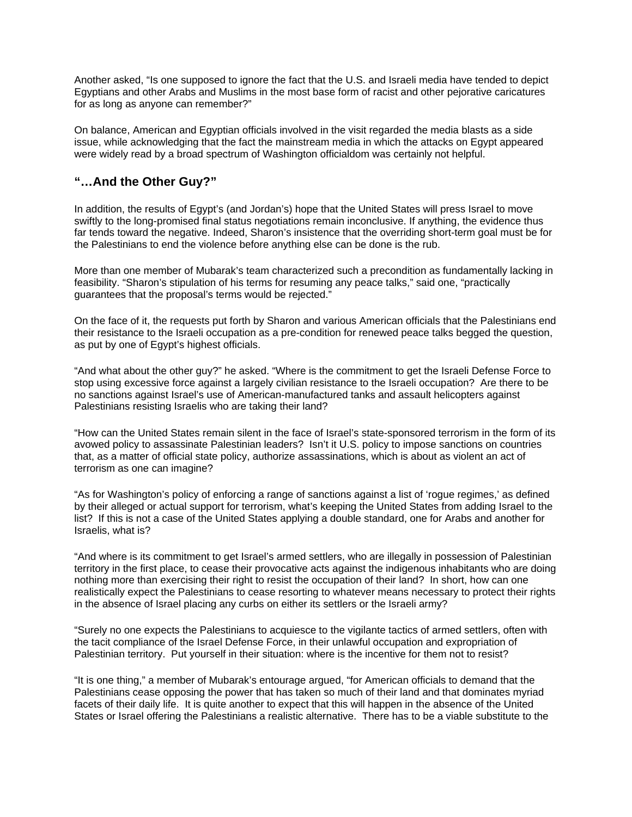Another asked, "Is one supposed to ignore the fact that the U.S. and Israeli media have tended to depict Egyptians and other Arabs and Muslims in the most base form of racist and other pejorative caricatures for as long as anyone can remember?"

On balance, American and Egyptian officials involved in the visit regarded the media blasts as a side issue, while acknowledging that the fact the mainstream media in which the attacks on Egypt appeared were widely read by a broad spectrum of Washington officialdom was certainly not helpful.

## **"…And the Other Guy?"**

In addition, the results of Egypt's (and Jordan's) hope that the United States will press Israel to move swiftly to the long-promised final status negotiations remain inconclusive. If anything, the evidence thus far tends toward the negative. Indeed, Sharon's insistence that the overriding short-term goal must be for the Palestinians to end the violence before anything else can be done is the rub.

More than one member of Mubarak's team characterized such a precondition as fundamentally lacking in feasibility. "Sharon's stipulation of his terms for resuming any peace talks," said one, "practically guarantees that the proposal's terms would be rejected."

On the face of it, the requests put forth by Sharon and various American officials that the Palestinians end their resistance to the Israeli occupation as a pre-condition for renewed peace talks begged the question, as put by one of Egypt's highest officials.

"And what about the other guy?" he asked. "Where is the commitment to get the Israeli Defense Force to stop using excessive force against a largely civilian resistance to the Israeli occupation? Are there to be no sanctions against Israel's use of American-manufactured tanks and assault helicopters against Palestinians resisting Israelis who are taking their land?

"How can the United States remain silent in the face of Israel's state-sponsored terrorism in the form of its avowed policy to assassinate Palestinian leaders? Isn't it U.S. policy to impose sanctions on countries that, as a matter of official state policy, authorize assassinations, which is about as violent an act of terrorism as one can imagine?

"As for Washington's policy of enforcing a range of sanctions against a list of 'rogue regimes,' as defined by their alleged or actual support for terrorism, what's keeping the United States from adding Israel to the list? If this is not a case of the United States applying a double standard, one for Arabs and another for Israelis, what is?

"And where is its commitment to get Israel's armed settlers, who are illegally in possession of Palestinian territory in the first place, to cease their provocative acts against the indigenous inhabitants who are doing nothing more than exercising their right to resist the occupation of their land? In short, how can one realistically expect the Palestinians to cease resorting to whatever means necessary to protect their rights in the absence of Israel placing any curbs on either its settlers or the Israeli army?

"Surely no one expects the Palestinians to acquiesce to the vigilante tactics of armed settlers, often with the tacit compliance of the Israel Defense Force, in their unlawful occupation and expropriation of Palestinian territory. Put yourself in their situation: where is the incentive for them not to resist?

"It is one thing," a member of Mubarak's entourage argued, "for American officials to demand that the Palestinians cease opposing the power that has taken so much of their land and that dominates myriad facets of their daily life. It is quite another to expect that this will happen in the absence of the United States or Israel offering the Palestinians a realistic alternative. There has to be a viable substitute to the